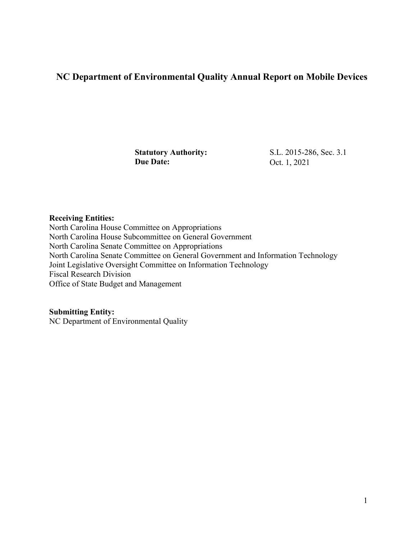## **NC Department of Environmental Quality Annual Report on Mobile Devices**

**Statutory Authority:** S.L. 2015-286, Sec. 3.1<br> **Due Date:** Oct. 1, 2021 **Due Date:** Oct. 1, 2021

## **Receiving Entities:**

North Carolina House Committee on Appropriations North Carolina House Subcommittee on General Government North Carolina Senate Committee on Appropriations North Carolina Senate Committee on General Government and Information Technology Joint Legislative Oversight Committee on Information Technology Fiscal Research Division Office of State Budget and Management

**Submitting Entity:** 

NC Department of Environmental Quality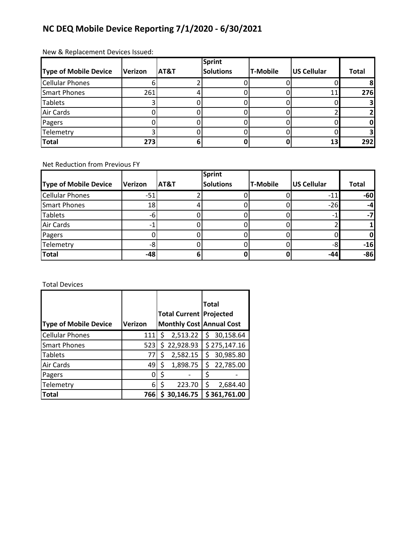## **NC DEQ Mobile Device Reporting 7/1/2020 - 6/30/2021**

## New & Replacement Devices Issued:

|                              |         |      | <b>Sprint</b>    |          |                 |              |
|------------------------------|---------|------|------------------|----------|-----------------|--------------|
| <b>Type of Mobile Device</b> | Verizon | AT&T | <b>Solutions</b> | T-Mobile | US Cellular     | <b>Total</b> |
| <b>Cellular Phones</b>       |         |      |                  |          |                 |              |
| Smart Phones                 | 261     |      |                  |          | 11              | <b>276</b>   |
| <b>Tablets</b>               |         |      |                  |          |                 |              |
| <b>Air Cards</b>             |         |      |                  |          |                 |              |
| Pagers                       |         |      |                  |          |                 |              |
| Telemetry                    |         |      |                  |          |                 |              |
| <b>Total</b>                 | 273     |      |                  |          | 13 <sub>h</sub> | 292          |

Net Reduction from Previous FY

|                        |         |      | <b>Sprint</b>    |                 |             |              |
|------------------------|---------|------|------------------|-----------------|-------------|--------------|
| Type of Mobile Device  | Verizon | AT&T | <b>Solutions</b> | <b>T-Mobile</b> | US Cellular | <b>Total</b> |
| <b>Cellular Phones</b> | $-51$   |      |                  |                 | $-11$       | $-60$        |
| <b>Smart Phones</b>    | 18      |      |                  |                 | $-26$       | $-4$         |
| <b>Tablets</b>         | -6      |      |                  |                 |             | -7           |
| Air Cards              |         |      |                  |                 |             |              |
| Pagers                 |         |      |                  |                 |             |              |
| Telemetry              |         |      |                  |                 |             | $-16$        |
| <b>Total</b>           | $-48$   |      |                  |                 | -44         | $-86$        |

Total Devices

|                              |         |                                |                                 | <b>Total</b> |              |
|------------------------------|---------|--------------------------------|---------------------------------|--------------|--------------|
|                              |         | <b>Total Current Projected</b> |                                 |              |              |
| <b>Type of Mobile Device</b> | Verizon |                                | <b>Monthly Cost Annual Cost</b> |              |              |
| <b>Cellular Phones</b>       | 111     | S                              | 2,513.22                        | Ś            | 30,158.64    |
| <b>Smart Phones</b>          | 523     |                                | \$22,928.93                     |              | \$275,147.16 |
| <b>Tablets</b>               | 77      | \$                             | 2,582.15                        | Ś            | 30,985.80    |
| Air Cards                    | 49      | \$                             | 1,898.75                        | \$           | 22,785.00    |
| Pagers                       | 0       | S                              |                                 | \$           |              |
| Telemetry                    | 6       | ς                              | 223.70                          | \$           | 2,684.40     |
| <b>Total</b>                 | 7661    |                                | \$30,146.75                     |              | \$361,761.00 |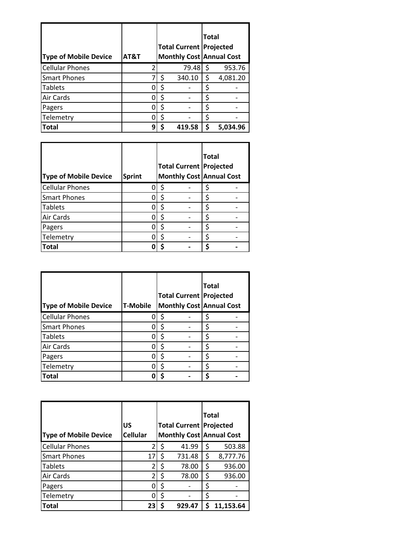| <b>Type of Mobile Device</b> | AT&T |   | <b>Total Current Projected</b><br><b>Monthly Cost Annual Cost</b> |        | <b>Total</b> |          |
|------------------------------|------|---|-------------------------------------------------------------------|--------|--------------|----------|
| <b>Cellular Phones</b>       |      | 2 |                                                                   | 79.48  | \$           | 953.76   |
| <b>Smart Phones</b>          |      |   | Ś                                                                 | 340.10 | \$           | 4,081.20 |
| <b>Tablets</b>               |      | n | ς                                                                 |        | ς            |          |
| Air Cards                    |      |   | ς                                                                 |        | ς            |          |
| Pagers                       |      | ი |                                                                   |        | \$           |          |
| Telemetry                    |      | ი | ς                                                                 |        | ς            |          |
| Total                        |      | q |                                                                   | 419.58 | ς            | 5.034.96 |

| <b>Type of Mobile Device</b> | <b>Sprint</b> | <b>Total Current Projected</b><br><b>Monthly Cost Annual Cost</b> | <b>Total</b> |  |
|------------------------------|---------------|-------------------------------------------------------------------|--------------|--|
| <b>Cellular Phones</b>       |               |                                                                   | S            |  |
| <b>Smart Phones</b>          |               |                                                                   | ς            |  |
| <b>Tablets</b>               |               |                                                                   | S            |  |
| <b>Air Cards</b>             |               |                                                                   |              |  |
| Pagers                       |               |                                                                   | ς            |  |
| Telemetry                    |               | ς                                                                 | \$           |  |
| <b>Total</b>                 |               |                                                                   |              |  |

| <b>Type of Mobile Device</b> | <b>T-Mobile</b> |   | Total<br><b>Total Current Projected</b><br><b>Monthly Cost Annual Cost</b> |  |
|------------------------------|-----------------|---|----------------------------------------------------------------------------|--|
| <b>Cellular Phones</b>       |                 |   | \$                                                                         |  |
| <b>Smart Phones</b>          |                 |   | \$                                                                         |  |
| <b>Tablets</b>               |                 |   | Ś                                                                          |  |
| <b>Air Cards</b>             |                 |   | \$                                                                         |  |
| Pagers                       |                 | Ś | \$                                                                         |  |
| Telemetry                    |                 |   | Ś                                                                          |  |
| Total                        |                 |   | ς                                                                          |  |

| <b>Type of Mobile Device</b> | US<br><b>Cellular</b> | <b>Total Current Projected</b><br><b>Monthly Cost Annual Cost</b> |        | Total |           |
|------------------------------|-----------------------|-------------------------------------------------------------------|--------|-------|-----------|
| <b>Cellular Phones</b>       | $\overline{2}$        | Ś                                                                 | 41.99  | \$    | 503.88    |
| <b>Smart Phones</b>          | 17                    | Ś                                                                 | 731.48 | \$    | 8,777.76  |
| <b>Tablets</b>               | 2                     | \$                                                                | 78.00  | \$    | 936.00    |
| Air Cards                    | 2                     | \$                                                                | 78.00  | \$    | 936.00    |
| Pagers                       | ი                     | \$                                                                |        | \$    |           |
| Telemetry                    | Ω                     | \$                                                                |        | \$    |           |
| <b>Total</b>                 | 23                    |                                                                   | 929.47 |       | 11.153.64 |